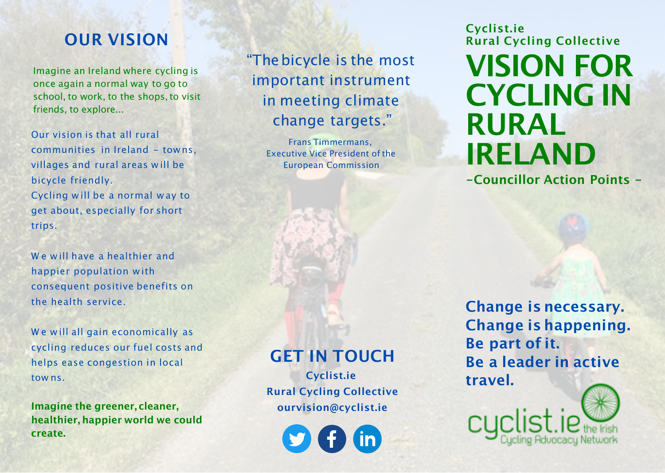## **OUR VISION**

Imagine an Ireland where cycling is once again a normal way to go to school, to work, to the shops, to visit friends, to explore...

Our vision is that all rural communities in Ireland - towns, villages and rural areas w ill be bicycle friendly. Cycling will be a normal way to get about, especially for short trips.

We will have a healthier and happier population with consequent positive benefits on the health service.

We will all gain economically as cycling reduces our fuel costs and helps ease congestion in local tow ns.

**Imagine the greener, cleaner, healthier, happier world we could create.**

"Thebicycle is the most important instrument in meeting climate change targets."

> Frans Timmermans, Executive Vice President of the European Commission

#### **GET IN TOUCH**

**Cyclist.ie Rural Cycling Collective ourvision@cyclist.ie**

**Cyclist.ie Rural Cycling Collective VISION FOR CYCLING IN RURAL IRELAND**

**-Councillor Action Points -**

**Change is necessary. Change is happening. Be part of it. Be a leader in active travel.**